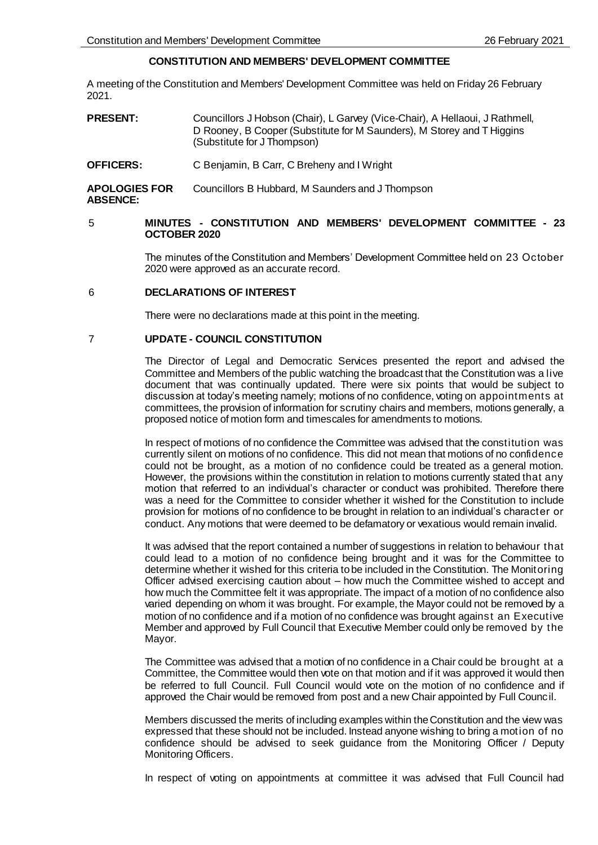# **CONSTITUTION AND MEMBERS' DEVELOPMENT COMMITTEE**

A meeting of the Constitution and Members' Development Committee was held on Friday 26 February 2021.

- **PRESENT:** Councillors J Hobson (Chair), L Garvey (Vice-Chair), A Hellaoui, J Rathmell, D Rooney, B Cooper (Substitute for M Saunders), M Storey and T Higgins (Substitute for J Thompson)
- **OFFICERS:** C Benjamin, B Carr, C Breheny and I Wright

**APOLOGIES FOR ABSENCE:** Councillors B Hubbard, M Saunders and J Thompson

# 5 **MINUTES - CONSTITUTION AND MEMBERS' DEVELOPMENT COMMITTEE - 23 OCTOBER 2020**

The minutes of the Constitution and Members' Development Committee held on 23 October 2020 were approved as an accurate record.

# 6 **DECLARATIONS OF INTEREST**

There were no declarations made at this point in the meeting.

# 7 **UPDATE - COUNCIL CONSTITUTION**

The Director of Legal and Democratic Services presented the report and advised the Committee and Members of the public watching the broadcast that the Constitution was a live document that was continually updated. There were six points that would be subject to discussion at today's meeting namely; motions of no confidence, voting on appointments at committees, the provision of information for scrutiny chairs and members, motions generally, a proposed notice of motion form and timescales for amendments to motions.

In respect of motions of no confidence the Committee was advised that the constitution was currently silent on motions of no confidence. This did not mean that motions of no confidence could not be brought, as a motion of no confidence could be treated as a general motion. However, the provisions within the constitution in relation to motions currently stated that any motion that referred to an individual's character or conduct was prohibited. Therefore there was a need for the Committee to consider whether it wished for the Constitution to include provision for motions of no confidence to be brought in relation to an individual's character or conduct. Any motions that were deemed to be defamatory or vexatious would remain invalid.

It was advised that the report contained a number of suggestions in relation to behaviour that could lead to a motion of no confidence being brought and it was for the Committee to determine whether it wished for this criteria to be included in the Constitution. The Monitoring Officer advised exercising caution about – how much the Committee wished to accept and how much the Committee felt it was appropriate. The impact of a motion of no confidence also varied depending on whom it was brought. For example, the Mayor could not be removed by a motion of no confidence and if a motion of no confidence was brought against an Executive Member and approved by Full Council that Executive Member could only be removed by the Mayor.

The Committee was advised that a motion of no confidence in a Chair could be brought at a Committee, the Committee would then vote on that motion and if it was approved it would then be referred to full Council. Full Council would vote on the motion of no confidence and if approved the Chair would be removed from post and a new Chair appointed by Full Council.

Members discussed the merits of including examples within the Constitution and the view was expressed that these should not be included. Instead anyone wishing to bring a motion of no confidence should be advised to seek guidance from the Monitoring Officer / Deputy Monitoring Officers.

In respect of voting on appointments at committee it was advised that Full Council had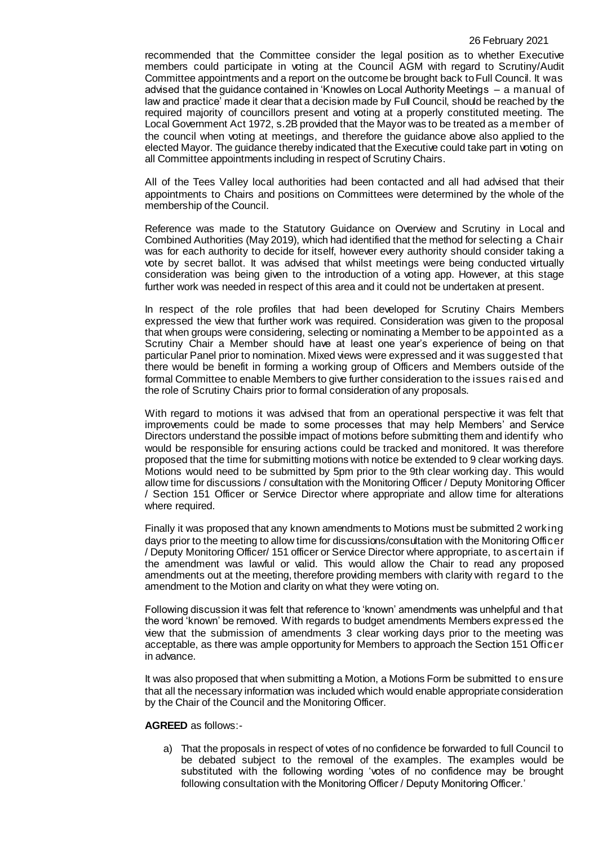#### 26 February 2021

recommended that the Committee consider the legal position as to whether Executive members could participate in voting at the Council AGM with regard to Scrutiny/Audit Committee appointments and a report on the outcome be brought back to Full Council. It was advised that the guidance contained in 'Knowles on Local Authority Meetings – a manual of law and practice' made it clear that a decision made by Full Council, should be reached by the required majority of councillors present and voting at a properly constituted meeting. The Local Government Act 1972, s.2B provided that the Mayor was to be treated as a member of the council when voting at meetings, and therefore the guidance above also applied to the elected Mayor. The guidance thereby indicated that the Executive could take part in voting on all Committee appointments including in respect of Scrutiny Chairs.

All of the Tees Valley local authorities had been contacted and all had advised that their appointments to Chairs and positions on Committees were determined by the whole of the membership of the Council.

Reference was made to the Statutory Guidance on Overview and Scrutiny in Local and Combined Authorities (May 2019), which had identified that the method for selecting a Chair was for each authority to decide for itself, however every authority should consider taking a vote by secret ballot. It was advised that whilst meetings were being conducted virtually consideration was being given to the introduction of a voting app. However, at this stage further work was needed in respect of this area and it could not be undertaken at present.

In respect of the role profiles that had been developed for Scrutiny Chairs Members expressed the view that further work was required. Consideration was given to the proposal that when groups were considering, selecting or nominating a Member to be appointed as a Scrutiny Chair a Member should have at least one year's experience of being on that particular Panel prior to nomination. Mixed views were expressed and it was suggested that there would be benefit in forming a working group of Officers and Members outside of the formal Committee to enable Members to give further consideration to the issues raised and the role of Scrutiny Chairs prior to formal consideration of any proposals.

With regard to motions it was advised that from an operational perspective it was felt that improvements could be made to some processes that may help Members' and Service Directors understand the possible impact of motions before submitting them and identify who would be responsible for ensuring actions could be tracked and monitored. It was therefore proposed that the time for submitting motions with notice be extended to 9 clear working days. Motions would need to be submitted by 5pm prior to the 9th clear working day. This would allow time for discussions / consultation with the Monitoring Officer / Deputy Monitoring Officer / Section 151 Officer or Service Director where appropriate and allow time for alterations where required.

Finally it was proposed that any known amendments to Motions must be submitted 2 working days prior to the meeting to allow time for discussions/consultation with the Monitoring Officer / Deputy Monitoring Officer/ 151 officer or Service Director where appropriate, to ascertain if the amendment was lawful or valid. This would allow the Chair to read any proposed amendments out at the meeting, therefore providing members with clarity with regard to the amendment to the Motion and clarity on what they were voting on.

Following discussion it was felt that reference to 'known' amendments was unhelpful and that the word 'known' be removed. With regards to budget amendments Members expressed the view that the submission of amendments 3 clear working days prior to the meeting was acceptable, as there was ample opportunity for Members to approach the Section 151 Officer in advance.

It was also proposed that when submitting a Motion, a Motions Form be submitted to ensure that all the necessary information was included which would enable appropriate consideration by the Chair of the Council and the Monitoring Officer.

### **AGREED** as follows:-

a) That the proposals in respect of votes of no confidence be forwarded to full Council to be debated subject to the removal of the examples. The examples would be substituted with the following wording 'votes of no confidence may be brought following consultation with the Monitoring Officer / Deputy Monitoring Officer.'